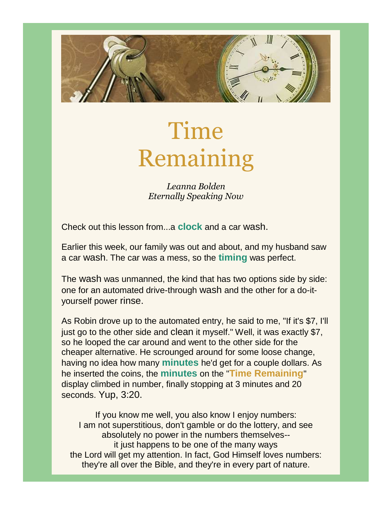

# Time Remaining

*Leanna Bolden Eternally Speaking Now*

Check out this lesson from...a **clock** and a car wash.

Earlier this week, our family was out and about, and my husband saw a car wash. The car was a mess, so the **timing** was perfect.

The wash was unmanned, the kind that has two options side by side: one for an automated drive-through wash and the other for a do-ityourself power rinse.

As Robin drove up to the automated entry, he said to me, "If it's \$7, I'll just go to the other side and clean it myself." Well, it was exactly \$7, so he looped the car around and went to the other side for the cheaper alternative. He scrounged around for some loose change, having no idea how many **minutes** he'd get for a couple dollars. As he inserted the coins, the **minutes** on the "**Time Remaining**" display climbed in number, finally stopping at 3 minutes and 20 seconds. Yup, 3:20.

If you know me well, you also know I enjoy numbers: I am not superstitious, don't gamble or do the lottery, and see absolutely no power in the numbers themselves- it just happens to be one of the many ways the Lord will get my attention. In fact, God Himself loves numbers: they're all over the Bible, and they're in every part of nature.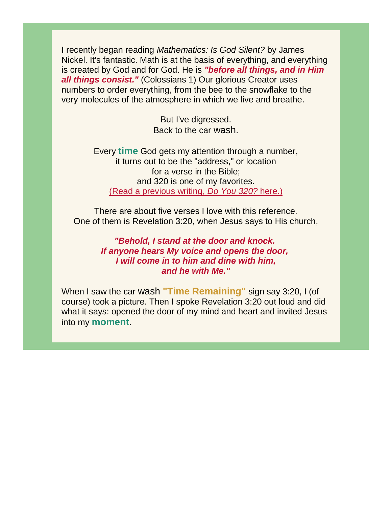I recently began reading *Mathematics: Is God Silent?* by James Nickel. It's fantastic. Math is at the basis of everything, and everything is created by God and for God. He is *"before all things, and in Him all things consist."* (Colossians 1) Our glorious Creator uses numbers to order everything, from the bee to the snowflake to the very molecules of the atmosphere in which we live and breathe.

> But I've digressed. Back to the car wash.

Every **time** God gets my attention through a number, it turns out to be the "address," or location for a verse in the Bible; and 320 is one of my favorites. [\(Read a previous writing,](https://storage.googleapis.com/production-constantcontact-v1-0-6/676/269676/CvXbrXwo/19617adf43f8443f9d3bf8d410c45973?fileName=website%20Do%20You%20320.pdf) *[Do You 320?](https://storage.googleapis.com/production-constantcontact-v1-0-6/676/269676/CvXbrXwo/19617adf43f8443f9d3bf8d410c45973?fileName=website%20Do%20You%20320.pdf)* [here.\)](https://storage.googleapis.com/production-constantcontact-v1-0-6/676/269676/CvXbrXwo/19617adf43f8443f9d3bf8d410c45973?fileName=website%20Do%20You%20320.pdf)

There are about five verses I love with this reference. One of them is Revelation 3:20, when Jesus says to His church,

> *"Behold, I stand at the door and knock. If anyone hears My voice and opens the door, I will come in to him and dine with him, and he with Me."*

When I saw the car wash **"Time Remaining"** sign say 3:20, I (of course) took a picture. Then I spoke Revelation 3:20 out loud and did what it says: opened the door of my mind and heart and invited Jesus into my **moment**.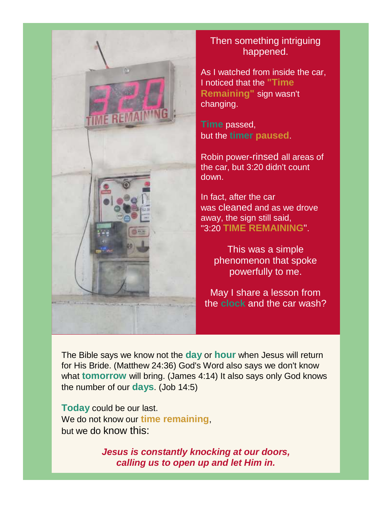

### Then something intriguing happened.

As I watched from inside the car, I noticed that the **"Time Remaining"** sign wasn't changing.

**Time** passed, but the **timer paused**.

Robin power-rinsed all areas of the car, but 3:20 didn't count down.

In fact, after the car was cleaned and as we drove away, the sign still said, "3:20 **TIME REMAINING**".

> This was a simple phenomenon that spoke powerfully to me.

May I share a lesson from the **clock** and the car wash?

The Bible says we know not the **day** or **hour** when Jesus will return for His Bride. (Matthew 24:36) God's Word also says we don't know what **tomorrow** will bring. (James 4:14) It also says only God knows the number of our **days**. (Job 14:5)

**Today** could be our last. We do not know our **time remaining**, but we do know this:

> *Jesus is constantly knocking at our doors, calling us to open up and let Him in.*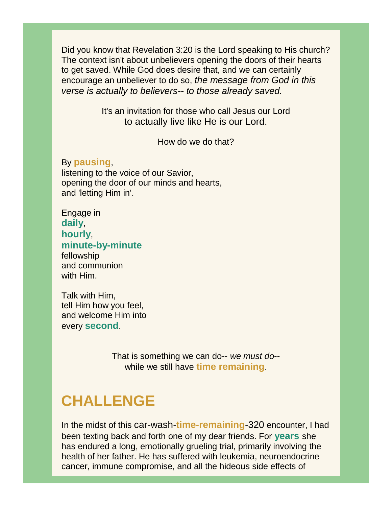Did you know that Revelation 3:20 is the Lord speaking to His church? The context isn't about unbelievers opening the doors of their hearts to get saved. While God does desire that, and we can certainly encourage an unbeliever to do so, *the message from God in this verse is actually to believers-- to those already saved.*

> It's an invitation for those who call Jesus our Lord to actually live like He is our Lord.

> > How do we do that?

#### By **pausing**,

listening to the voice of our Savior, opening the door of our minds and hearts, and 'letting Him in'.

Engage in **daily**, **hourly**, **minute-by-minute** fellowship and communion with Him.

Talk with Him, tell Him how you feel, and welcome Him into every **second**.

> That is something we can do-- *we must do*- while we still have **time remaining**.

## **CHALLENGE**

In the midst of this car-wash-**time-remaining**-320 encounter, I had been texting back and forth one of my dear friends. For **years** she has endured a long, emotionally grueling trial, primarily involving the health of her father. He has suffered with leukemia, neuroendocrine cancer, immune compromise, and all the hideous side effects of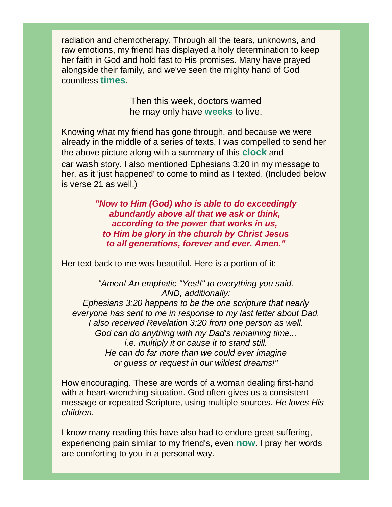radiation and chemotherapy. Through all the tears, unknowns, and raw emotions, my friend has displayed a holy determination to keep her faith in God and hold fast to His promises. Many have prayed alongside their family, and we've seen the mighty hand of God countless **times**.

> Then this week, doctors warned he may only have **weeks** to live.

Knowing what my friend has gone through, and because we were already in the middle of a series of texts, I was compelled to send her the above picture along with a summary of this **clock** and car wash story. I also mentioned Ephesians 3:20 in my message to her, as it 'just happened' to come to mind as I texted. (Included below is verse 21 as well.)

> *"Now to Him (God) who is able to do exceedingly abundantly above all that we ask or think, according to the power that works in us, to Him be glory in the church by Christ Jesus to all generations, forever and ever. Amen."*

Her text back to me was beautiful. Here is a portion of it:

*"Amen! An emphatic "Yes!!" to everything you said. AND, additionally: Ephesians 3:20 happens to be the one scripture that nearly everyone has sent to me in response to my last letter about Dad. I also received Revelation 3:20 from one person as well. God can do anything with my Dad's remaining time... i.e. multiply it or cause it to stand still. He can do far more than we could ever imagine or guess or request in our wildest dreams!"*

How encouraging. These are words of a woman dealing first-hand with a heart-wrenching situation. God often gives us a consistent message or repeated Scripture, using multiple sources. *He loves His children.*

I know many reading this have also had to endure great suffering, experiencing pain similar to my friend's, even **now**. I pray her words are comforting to you in a personal way.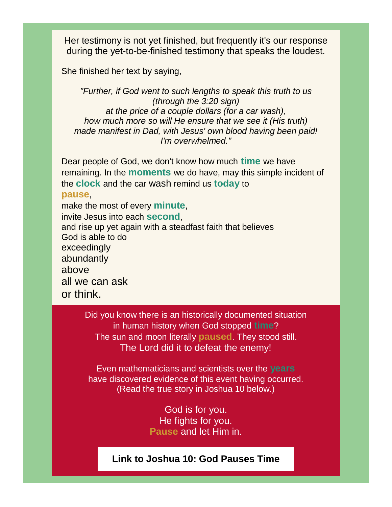Her testimony is not yet finished, but frequently it's our response during the yet-to-be-finished testimony that speaks the loudest.

She finished her text by saying,

*"Further, if God went to such lengths to speak this truth to us (through the 3:20 sign) at the price of a couple dollars (for a car wash), how much more so will He ensure that we see it (His truth) made manifest in Dad, with Jesus' own blood having been paid! I'm overwhelmed."*

Dear people of God, we don't know how much **time** we have remaining. In the **moments** we do have, may this simple incident of the **clock** and the car wash remind us **today** to **pause**, make the most of every **minute**,

invite Jesus into each **second**, and rise up yet again with a steadfast faith that believes God is able to do exceedingly abundantly above all we can ask or think.

> Did you know there is an historically documented situation in human history when God stopped **time**? The sun and moon literally **paused**. They stood still. The Lord did it to defeat the enemy!

Even mathematicians and scientists over the **years** have discovered evidence of this event having occurred. (Read the true story in Joshua 10 below.)

> God is for you. He fights for you. **Pause** and let Him in.

#### **[Link to Joshua 10: God Pauses Time](https://www.blueletterbible.org/kjv/jos/10/1/ss1/s_197001)**